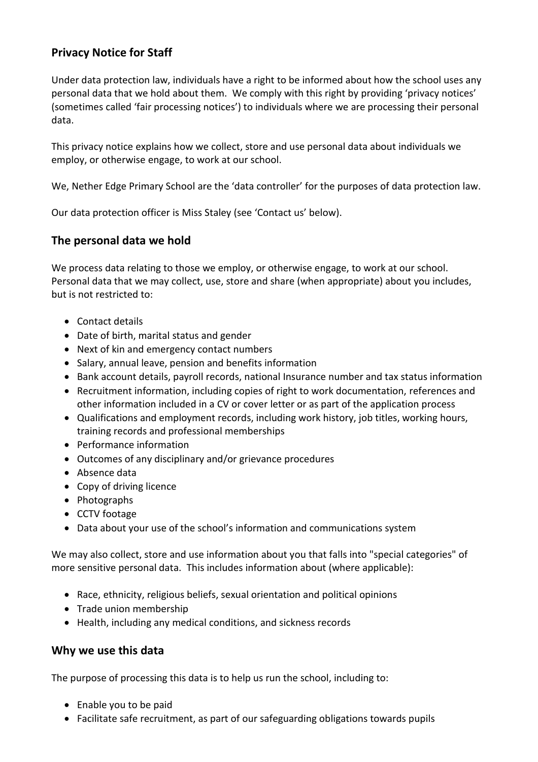# **Privacy Notice for Staff**

Under data protection law, individuals have a right to be informed about how the school uses any personal data that we hold about them. We comply with this right by providing 'privacy notices' (sometimes called 'fair processing notices') to individuals where we are processing their personal data.

This privacy notice explains how we collect, store and use personal data about individuals we employ, or otherwise engage, to work at our school.

We, Nether Edge Primary School are the 'data controller' for the purposes of data protection law.

Our data protection officer is Miss Staley (see 'Contact us' below).

### **The personal data we hold**

We process data relating to those we employ, or otherwise engage, to work at our school. Personal data that we may collect, use, store and share (when appropriate) about you includes, but is not restricted to:

- Contact details
- Date of birth, marital status and gender
- Next of kin and emergency contact numbers
- Salary, annual leave, pension and benefits information
- Bank account details, payroll records, national Insurance number and tax status information
- Recruitment information, including copies of right to work documentation, references and other information included in a CV or cover letter or as part of the application process
- Qualifications and employment records, including work history, job titles, working hours, training records and professional memberships
- Performance information
- Outcomes of any disciplinary and/or grievance procedures
- Absence data
- Copy of driving licence
- Photographs
- CCTV footage
- Data about your use of the school's information and communications system

We may also collect, store and use information about you that falls into "special categories" of more sensitive personal data. This includes information about (where applicable):

- Race, ethnicity, religious beliefs, sexual orientation and political opinions
- Trade union membership
- Health, including any medical conditions, and sickness records

### **Why we use this data**

The purpose of processing this data is to help us run the school, including to:

- Enable you to be paid
- Facilitate safe recruitment, as part of our safeguarding obligations towards pupils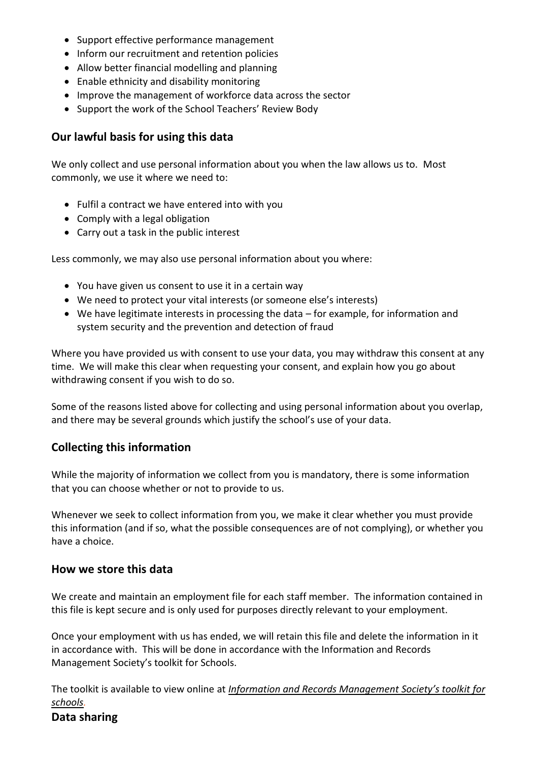- Support effective performance management
- Inform our recruitment and retention policies
- Allow better financial modelling and planning
- Enable ethnicity and disability monitoring
- Improve the management of workforce data across the sector
- Support the work of the School Teachers' Review Body

## **Our lawful basis for using this data**

We only collect and use personal information about you when the law allows us to. Most commonly, we use it where we need to:

- Fulfil a contract we have entered into with you
- Comply with a legal obligation
- Carry out a task in the public interest

Less commonly, we may also use personal information about you where:

- You have given us consent to use it in a certain way
- We need to protect your vital interests (or someone else's interests)
- We have legitimate interests in processing the data for example, for information and system security and the prevention and detection of fraud

Where you have provided us with consent to use your data, you may withdraw this consent at any time. We will make this clear when requesting your consent, and explain how you go about withdrawing consent if you wish to do so.

Some of the reasons listed above for collecting and using personal information about you overlap, and there may be several grounds which justify the school's use of your data.

## **Collecting this information**

While the majority of information we collect from you is mandatory, there is some information that you can choose whether or not to provide to us.

Whenever we seek to collect information from you, we make it clear whether you must provide this information (and if so, what the possible consequences are of not complying), or whether you have a choice.

## **How we store this data**

We create and maintain an employment file for each staff member. The information contained in this file is kept secure and is only used for purposes directly relevant to your employment.

Once your employment with us has ended, we will retain this file and delete the information in it in accordance with. This will be done in accordance with the Information and Records Management Society's toolkit for Schools.

The toolkit is available to view online at *[Information and Records Managem](http://irms.org.uk/?page=schoolstoolkit&terms=%22toolkit+and+schools%22)ent Society's toolkit for [schools.](http://irms.org.uk/?page=schoolstoolkit&terms=%22toolkit+and+schools%22)*

### **Data sharing**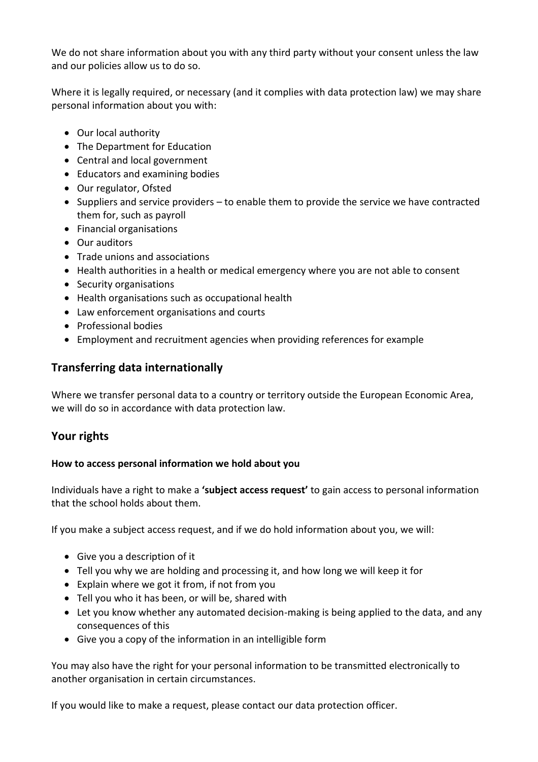We do not share information about you with any third party without your consent unless the law and our policies allow us to do so.

Where it is legally required, or necessary (and it complies with data protection law) we may share personal information about you with:

- Our local authority
- The Department for Education
- Central and local government
- Educators and examining bodies
- Our regulator, Ofsted
- Suppliers and service providers to enable them to provide the service we have contracted them for, such as payroll
- Financial organisations
- Our auditors
- Trade unions and associations
- Health authorities in a health or medical emergency where you are not able to consent
- Security organisations
- Health organisations such as occupational health
- Law enforcement organisations and courts
- Professional bodies
- Employment and recruitment agencies when providing references for example

## **Transferring data internationally**

Where we transfer personal data to a country or territory outside the European Economic Area, we will do so in accordance with data protection law.

## **Your rights**

### **How to access personal information we hold about you**

Individuals have a right to make a **'subject access request'** to gain access to personal information that the school holds about them.

If you make a subject access request, and if we do hold information about you, we will:

- Give you a description of it
- Tell you why we are holding and processing it, and how long we will keep it for
- Explain where we got it from, if not from you
- Tell you who it has been, or will be, shared with
- Let you know whether any automated decision-making is being applied to the data, and any consequences of this
- Give you a copy of the information in an intelligible form

You may also have the right for your personal information to be transmitted electronically to another organisation in certain circumstances.

If you would like to make a request, please contact our data protection officer.